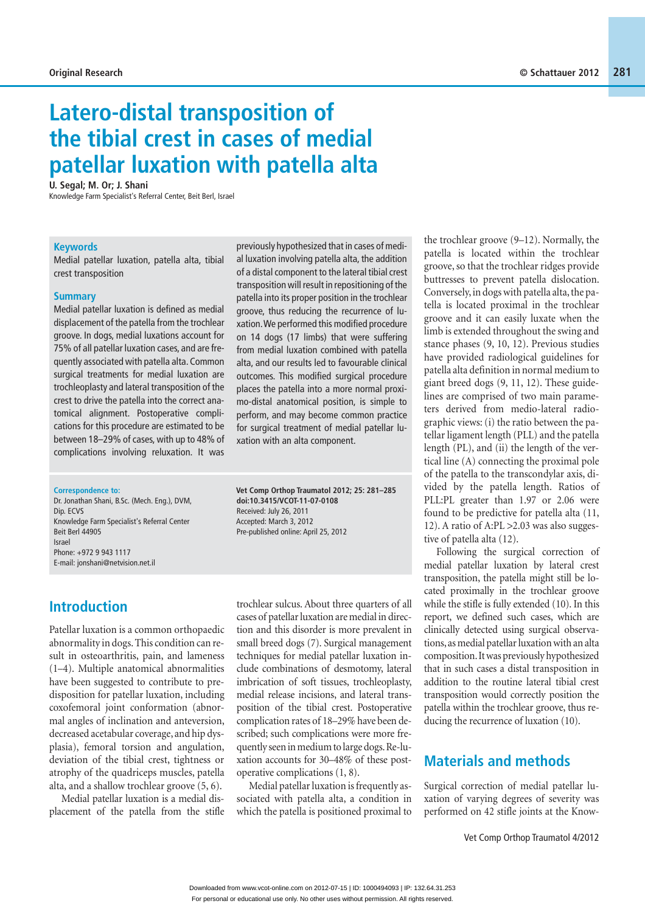# **Latero-distal transposition of the tibial crest in cases of medial patellar luxation with patella alta**

**U. Segal; M. Or; J. Shani**

Knowledge Farm Specialist's Referral Center, Beit Berl, Israel

#### **Keywords**

Medial patellar luxation, patella alta, tibial crest transposition

#### **Summary**

Medial patellar luxation is defined as medial displacement of the patella from the trochlear groove. In dogs, medial luxations account for 75% of all patellar luxation cases, and are frequently associated with patella alta. Common surgical treatments for medial luxation are trochleoplasty and lateral transposition of the crest to drive the patella into the correct anatomical alignment. Postoperative complications for this procedure are estimated to be between 18–29% of cases, with up to 48% of complications involving reluxation. It was

previously hypothesized that in cases of medial luxation involving patella alta, the addition of a distal component to the lateral tibial crest transposition will result in repositioning of the patella into its proper position in the trochlear groove, thus reducing the recurrence of luxation. We performed this modified procedure on 14 dogs (17 limbs) that were suffering from medial luxation combined with patella alta, and our results led to favourable clinical outcomes. This modified surgical procedure places the patella into a more normal proximo-distal anatomical position, is simple to perform, and may become common practice for surgical treatment of medial patellar luxation with an alta component.

#### **Correspondence to:**

Dr. Jonathan Shani, B.Sc. (Mech. Eng.), DVM, Dip. ECVS Knowledge Farm Specialist's Referral Center Beit Berl 44905 Israel Phone: +972 9 943 1117 E-mail: jonshani@netvision.net.il

## **Introduction**

Patellar luxation is a common orthopaedic abnormality in dogs. This condition can result in osteoarthritis, pain, and lameness (1–4). Multiple anatomical abnormalities have been suggested to contribute to predisposition for patellar luxation, including coxofemoral joint conformation (abnormal angles of inclination and anteversion, decreased acetabular coverage, and hip dysplasia), femoral torsion and angulation, deviation of the tibial crest, tightness or atrophy of the quadriceps muscles, patella alta, and a shallow trochlear groove (5, 6).

Medial patellar luxation is a medial displacement of the patella from the stifle **Vet Comp Orthop Traumatol 2012; 25: 281–285 doi:10.3415/VCOT-11-07-0108**  Received: July 26, 2011 Accepted: March 3, 2012 Pre-published online: April 25, 2012

trochlear sulcus. About three quarters of all cases of patellar luxation are medial in direction and this disorder is more prevalent in small breed dogs (7). Surgical management techniques for medial patellar luxation include combinations of desmotomy, lateral imbrication of soft tissues, trochleoplasty, medial release incisions, and lateral transposition of the tibial crest. Postoperative complication rates of 18–29% have been described; such complications were more frequently seen in medium to large dogs. Re-luxation accounts for 30–48% of these postoperative complications (1, 8).

Medial patellar luxation is frequently associated with patella alta, a condition in which the patella is positioned proximal to

the trochlear groove (9–12). Normally, the patella is located within the trochlear groove, so that the trochlear ridges provide buttresses to prevent patella dislocation. Conversely, in dogs with patella alta, the patella is located proximal in the trochlear groove and it can easily luxate when the limb is extended throughout the swing and stance phases (9, 10, 12). Previous studies have provided radiological guidelines for patella alta definition in normal medium to giant breed dogs (9, 11, 12). These guidelines are comprised of two main parameters derived from medio-lateral radiographic views: (i) the ratio between the patellar ligament length (PLL) and the patella length (PL), and (ii) the length of the vertical line (A) connecting the proximal pole of the patella to the transcondylar axis, divided by the patella length. Ratios of PLL:PL greater than 1.97 or 2.06 were found to be predictive for patella alta (11, 12). A ratio of A:PL >2.03 was also suggestive of patella alta (12).

Following the surgical correction of medial patellar luxation by lateral crest transposition, the patella might still be located proximally in the trochlear groove while the stifle is fully extended (10). In this report, we defined such cases, which are clinically detected using surgical observations, as medial patellar luxation with an alta composition. It was previously hypothesized that in such cases a distal transposition in addition to the routine lateral tibial crest transposition would correctly position the patella within the trochlear groove, thus reducing the recurrence of luxation (10).

## **Materials and methods**

Surgical correction of medial patellar luxation of varying degrees of severity was performed on 42 stifle joints at the Know-

Vet Comp Orthop Traumatol 4/2012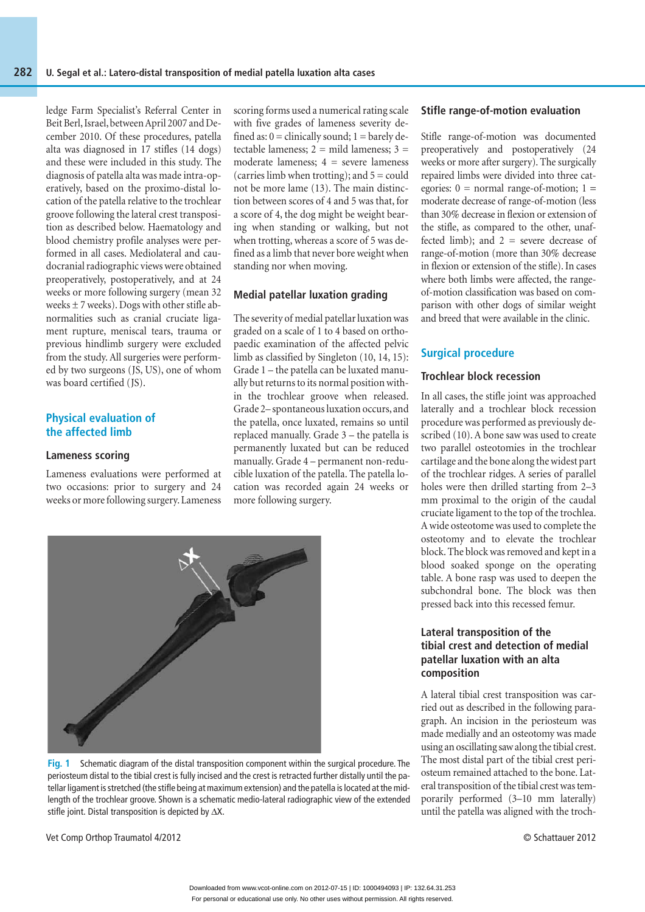ledge Farm Specialist's Referral Center in Beit Berl, Israel, between April 2007 and December 2010. Of these procedures, patella alta was diagnosed in 17 stifles (14 dogs) and these were included in this study. The diagnosis of patella alta was made intra-operatively, based on the proximo-distal location of the patella relative to the trochlear groove following the lateral crest transposition as described below. Haematology and blood chemistry profile analyses were performed in all cases. Mediolateral and caudocranial radiographic views were obtained preoperatively, postoperatively, and at 24 weeks or more following surgery (mean 32 weeks  $\pm$  7 weeks). Dogs with other stifle abnormalities such as cranial cruciate ligament rupture, meniscal tears, trauma or previous hindlimb surgery were excluded from the study. All surgeries were performed by two surgeons (JS, US), one of whom was board certified (JS).

#### **Physical evaluation of the affected limb**

#### **Lameness scoring**

Lameness evaluations were performed at two occasions: prior to surgery and 24 weeks or more following surgery. Lameness

scoring forms used a numerical rating scale with five grades of lameness severity defined as:  $0 =$  clinically sound;  $1 =$  barely detectable lameness;  $2 =$  mild lameness;  $3 =$ moderate lameness:  $4 =$  severe lameness (carries limb when trotting); and  $5 = \text{could}$ not be more lame (13). The main distinction between scores of 4 and 5 was that, for a score of 4, the dog might be weight bearing when standing or walking, but not when trotting, whereas a score of 5 was defined as a limb that never bore weight when standing nor when moving.

#### **Medial patellar luxation grading**

The severity of medial patellar luxation was graded on a scale of 1 to 4 based on orthopaedic examination of the affected pelvic limb as classified by Singleton (10, 14, 15): Grade 1 – the patella can be luxated manually but returns to its normal position within the trochlear groove when released. Grade 2– spontaneous luxation occurs, and the patella, once luxated, remains so until replaced manually. Grade 3 – the patella is permanently luxated but can be reduced manually. Grade 4 – permanent non-reducible luxation of the patella. The patella location was recorded again 24 weeks or more following surgery.



**Fig. 1** Schematic diagram of the distal transposition component within the surgical procedure. The periosteum distal to the tibial crest is fully incised and the crest is retracted further distally until the patellar ligament is stretched (the stifle being at maximum extension) and the patella is located at the midlength of the trochlear groove. Shown is a schematic medio-lateral radiographic view of the extended stifle joint. Distal transposition is depicted by ΔX.

**Stifle range-of-motion evaluation** 

Stifle range-of-motion was documented preoperatively and postoperatively (24 weeks or more after surgery). The surgically repaired limbs were divided into three categories:  $0 = normal range-of-motion$ ;  $1 =$ moderate decrease of range-of-motion (less than 30% decrease in flexion or extension of the stifle, as compared to the other, unaffected limb); and  $2 =$  severe decrease of range-of-motion (more than 30% decrease in flexion or extension of the stifle). In cases where both limbs were affected, the rangeof-motion classification was based on comparison with other dogs of similar weight and breed that were available in the clinic.

#### **Surgical procedure**

#### **Trochlear block recession**

In all cases, the stifle joint was approached laterally and a trochlear block recession procedure was performed as previously described (10). A bone saw was used to create two parallel osteotomies in the trochlear cartilage and the bone along the widest part of the trochlear ridges. A series of parallel holes were then drilled starting from 2–3 mm proximal to the origin of the caudal cruciate ligament to the top of the trochlea. A wide osteotome was used to complete the osteotomy and to elevate the trochlear block. The block was removed and kept in a blood soaked sponge on the operating table. A bone rasp was used to deepen the subchondral bone. The block was then pressed back into this recessed femur.

#### **Lateral transposition of the tibial crest and detection of medial patellar luxation with an alta composition**

A lateral tibial crest transposition was carried out as described in the following paragraph. An incision in the periosteum was made medially and an osteotomy was made using an oscillating saw along the tibial crest. The most distal part of the tibial crest periosteum remained attached to the bone. Lateral transposition of the tibial crest was temporarily performed (3–10 mm laterally) until the patella was aligned with the troch-

Vet Comp Orthop Traumatol 4/2012 © Schattauer 2012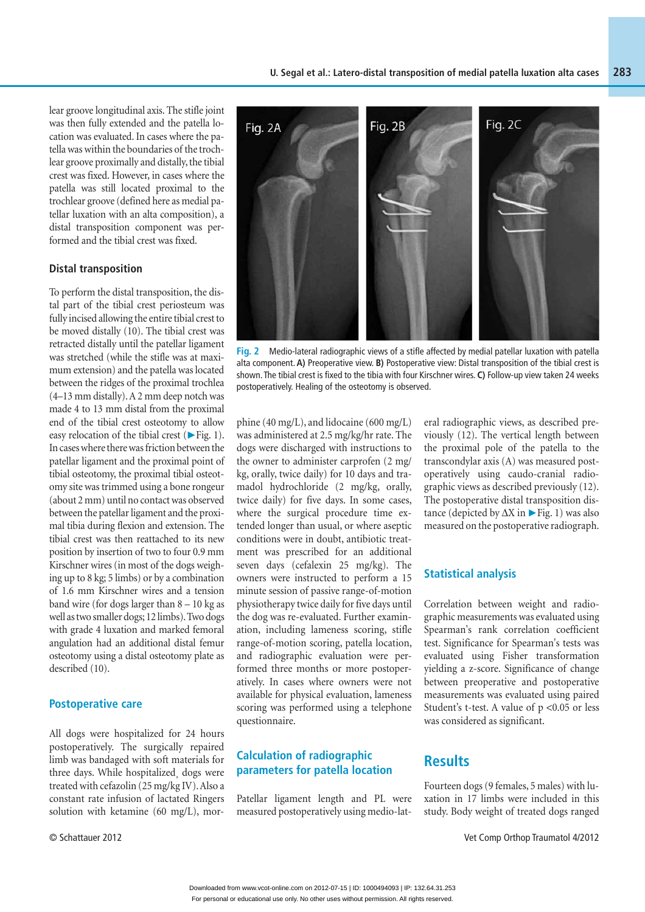lear groove longitudinal axis. The stifle joint was then fully extended and the patella location was evaluated. In cases where the patella was within the boundaries of the trochlear groove proximally and distally, the tibial crest was fixed. However, in cases where the patella was still located proximal to the trochlear groove (defined here as medial patellar luxation with an alta composition), a distal transposition component was performed and the tibial crest was fixed.

#### **Distal transposition**

To perform the distal transposition, the distal part of the tibial crest periosteum was fully incised allowing the entire tibial crest to be moved distally (10). The tibial crest was retracted distally until the patellar ligament was stretched (while the stifle was at maximum extension) and the patella was located between the ridges of the proximal trochlea (4–13 mm distally). A 2 mm deep notch was made 4 to 13 mm distal from the proximal end of the tibial crest osteotomy to allow easy relocation of the tibial crest ( $\blacktriangleright$  Fig. 1). In cases where there was friction between the patellar ligament and the proximal point of tibial osteotomy, the proximal tibial osteotomy site was trimmed using a bone rongeur (about 2 mm) until no contact was observed between the patellar ligament and the proximal tibia during flexion and extension. The tibial crest was then reattached to its new position by insertion of two to four 0.9 mm Kirschner wires (in most of the dogs weighing up to 8 kg; 5 limbs) or by a combination of 1.6 mm Kirschner wires and a tension band wire (for dogs larger than 8 – 10 kg as well as two smaller dogs; 12 limbs). Two dogs with grade 4 luxation and marked femoral angulation had an additional distal femur osteotomy using a distal osteotomy plate as described (10).

#### **Postoperative care**

All dogs were hospitalized for 24 hours postoperatively. The surgically repaired limb was bandaged with soft materials for three days. While hospitalized¸ dogs were treated with cefazolin (25 mg/kg IV). Also a constant rate infusion of lactated Ringers solution with ketamine (60 mg/L), mor-



**Fig. 2** Medio-lateral radiographic views of a stifle affected by medial patellar luxation with patella alta component. **A)** Preoperative view. **B)** Postoperative view: Distal transposition of the tibial crest is shown. The tibial crest is fixed to the tibia with four Kirschner wires. **C)** Follow-up view taken 24 weeks postoperatively. Healing of the osteotomy is observed.

phine (40 mg/L), and lidocaine (600 mg/L) was administered at 2.5 mg/kg/hr rate. The dogs were discharged with instructions to the owner to administer carprofen (2 mg/ kg, orally, twice daily) for 10 days and tramadol hydrochloride (2 mg/kg, orally, twice daily) for five days. In some cases, where the surgical procedure time extended longer than usual, or where aseptic conditions were in doubt, antibiotic treatment was prescribed for an additional seven days (cefalexin 25 mg/kg). The owners were instructed to perform a 15 minute session of passive range-of-motion physiotherapy twice daily for five days until the dog was re-evaluated. Further examination, including lameness scoring, stifle range-of-motion scoring, patella location, and radiographic evaluation were performed three months or more postoperatively. In cases where owners were not available for physical evaluation, lameness scoring was performed using a telephone questionnaire.

#### **Calculation of radiographic parameters for patella location**

Patellar ligament length and PL were measured postoperatively using medio-lateral radiographic views, as described previously (12). The vertical length between the proximal pole of the patella to the transcondylar axis (A) was measured postoperatively using caudo-cranial radiographic views as described previously (12). The postoperative distal transposition distance (depicted by  $\Delta X$  in ► Fig. 1) was also measured on the postoperative radiograph.

#### **Statistical analysis**

Correlation between weight and radiographic measurements was evaluated using Spearman's rank correlation coefficient test. Significance for Spearman's tests was evaluated using Fisher transformation yielding a z-score. Significance of change between preoperative and postoperative measurements was evaluated using paired Student's t-test. A value of  $p < 0.05$  or less was considered as significant.

### **Results**

Fourteen dogs (9 females, 5 males) with luxation in 17 limbs were included in this study. Body weight of treated dogs ranged

© Schattauer 2012 Vet Comp Orthop Traumatol 4/2012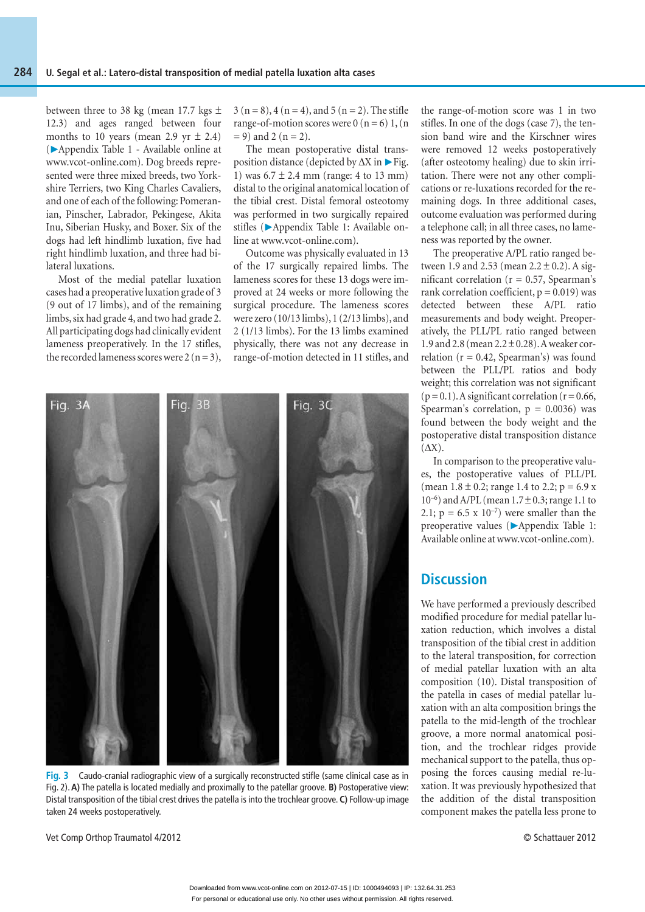between three to 38 kg (mean 17.7 kgs  $\pm$ 12.3) and ages ranged between four months to 10 years (mean 2.9 yr  $\pm$  2.4) (▶ Appendix Table 1 - Available online at www.vcot-online.com). Dog breeds represented were three mixed breeds, two Yorkshire Terriers, two King Charles Cavaliers, and one of each of the following: Pomeranian, Pinscher, Labrador, Pekingese, Akita Inu, Siberian Husky, and Boxer. Six of the dogs had left hindlimb luxation, five had right hindlimb luxation, and three had bilateral luxations.

Most of the medial patellar luxation cases had a preoperative luxation grade of 3 (9 out of 17 limbs), and of the remaining limbs, six had grade 4, and two had grade 2. All participating dogs had clinically evident lameness preoperatively. In the 17 stifles, the recorded lameness scores were  $2 (n = 3)$ ,

 $3 (n = 8)$ ,  $4 (n = 4)$ , and  $5 (n = 2)$ . The stifle range-of-motion scores were  $0(n = 6) 1$ ,  $(n = 1)$  $= 9$ ) and 2 (n = 2).

The mean postoperative distal transposition distance (depicted by  $\Delta X$  in  $\triangleright$  Fig. 1) was  $6.7 \pm 2.4$  mm (range: 4 to 13 mm) distal to the original anatomical location of the tibial crest. Distal femoral osteotomy was performed in two surgically repaired stifles (▶Appendix Table 1: Available online at www.vcot-online.com).

Outcome was physically evaluated in 13 of the 17 surgically repaired limbs. The lameness scores for these 13 dogs were improved at 24 weeks or more following the surgical procedure. The lameness scores were zero (10/13 limbs), 1 (2/13 limbs), and 2 (1/13 limbs). For the 13 limbs examined physically, there was not any decrease in range-of-motion detected in 11 stifles, and



**Fig. 3** Caudo-cranial radiographic view of a surgically reconstructed stifle (same clinical case as in Fig. 2). **A)** The patella is located medially and proximally to the patellar groove. **B)** Postoperative view: Distal transposition of the tibial crest drives the patella is into the trochlear groove. **C)** Follow-up image taken 24 weeks postoperatively.

Vet Comp Orthop Traumatol 4/2012 © Schattauer 2012

the range-of-motion score was 1 in two stifles. In one of the dogs (case 7), the tension band wire and the Kirschner wires were removed 12 weeks postoperatively (after osteotomy healing) due to skin irritation. There were not any other complications or re-luxations recorded for the remaining dogs. In three additional cases, outcome evaluation was performed during a telephone call; in all three cases, no lameness was reported by the owner.

The preoperative A/PL ratio ranged between 1.9 and 2.53 (mean  $2.2 \pm 0.2$ ). A significant correlation ( $r = 0.57$ , Spearman's rank correlation coefficient,  $p = 0.019$ ) was detected between these A/PL ratio measurements and body weight. Preoperatively, the PLL/PL ratio ranged between 1.9 and 2.8 (mean 2.2 ± 0.28). A weaker correlation ( $r = 0.42$ , Spearman's) was found between the PLL/PL ratios and body weight; this correlation was not significant  $(p = 0.1)$ . A significant correlation  $(r = 0.66,$ Spearman's correlation,  $p = 0.0036$ ) was found between the body weight and the postoperative distal transposition distance (ΔX).

In comparison to the preoperative values, the postoperative values of PLL/PL (mean  $1.8 \pm 0.2$ ; range 1.4 to 2.2; p = 6.9 x  $10^{-6}$ ) and A/PL (mean  $1.7 \pm 0.3$ ; range 1.1 to 2.1;  $p = 6.5 \times 10^{-7}$  were smaller than the preoperative values (▶Appendix Table 1: Available online at www.vcot-online.com).

## **Discussion**

We have performed a previously described modified procedure for medial patellar luxation reduction, which involves a distal transposition of the tibial crest in addition to the lateral transposition, for correction of medial patellar luxation with an alta composition (10). Distal transposition of the patella in cases of medial patellar luxation with an alta composition brings the patella to the mid-length of the trochlear groove, a more normal anatomical position, and the trochlear ridges provide mechanical support to the patella, thus opposing the forces causing medial re-luxation. It was previously hypothesized that the addition of the distal transposition component makes the patella less prone to